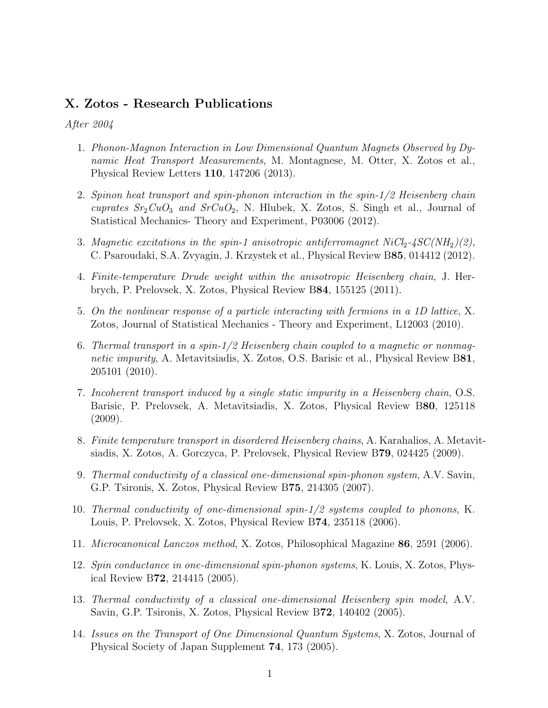## X. Zotos - Research Publications

## After 2004

- 1. Phonon-Magnon Interaction in Low Dimensional Quantum Magnets Observed by Dynamic Heat Transport Measurements, M. Montagnese, M. Otter, X. Zotos et al., Physical Review Letters 110, 147206 (2013).
- 2. Spinon heat transport and spin-phonon interaction in the spin-1/2 Heisenberg chain cuprates  $Sr_2CuO_3$  and  $SrCuO_2$ , N. Hlubek, X. Zotos, S. Singh et al., Journal of Statistical Mechanics- Theory and Experiment, P03006 (2012).
- 3. Magnetic excitations in the spin-1 anisotropic antiferromagnet  $NiCl<sub>2</sub>-4SC(NH<sub>2</sub>)(2)$ , C. Psaroudaki, S.A. Zvyagin, J. Krzystek et al., Physical Review B85, 014412 (2012).
- 4. Finite-temperature Drude weight within the anisotropic Heisenberg chain, J. Herbrych, P. Prelovsek, X. Zotos, Physical Review B84, 155125 (2011).
- 5. On the nonlinear response of a particle interacting with fermions in a 1D lattice, X. Zotos, Journal of Statistical Mechanics - Theory and Experiment, L12003 (2010).
- 6. Thermal transport in a spin-1/2 Heisenberg chain coupled to a magnetic or nonmagnetic impurity, A. Metavitsiadis, X. Zotos, O.S. Barisic et al., Physical Review B81, 205101 (2010).
- 7. Incoherent transport induced by a single static impurity in a Heisenberg chain, O.S. Barisic, P. Prelovsek, A. Metavitsiadis, X. Zotos, Physical Review B80, 125118 (2009).
- 8. Finite temperature transport in disordered Heisenberg chains, A. Karahalios, A. Metavitsiadis, X. Zotos, A. Gorczyca, P. Prelovsek, Physical Review B79, 024425 (2009).
- 9. Thermal conductivity of a classical one-dimensional spin-phonon system, A.V. Savin, G.P. Tsironis, X. Zotos, Physical Review B75, 214305 (2007).
- 10. Thermal conductivity of one-dimensional spin-1/2 systems coupled to phonons, K. Louis, P. Prelovsek, X. Zotos, Physical Review B74, 235118 (2006).
- 11. Microcanonical Lanczos method, X. Zotos, Philosophical Magazine 86, 2591 (2006).
- 12. Spin conductance in one-dimensional spin-phonon systems, K. Louis, X. Zotos, Physical Review B72, 214415 (2005).
- 13. Thermal conductivity of a classical one-dimensional Heisenberg spin model, A.V. Savin, G.P. Tsironis, X. Zotos, Physical Review B72, 140402 (2005).
- 14. Issues on the Transport of One Dimensional Quantum Systems, X. Zotos, Journal of Physical Society of Japan Supplement 74, 173 (2005).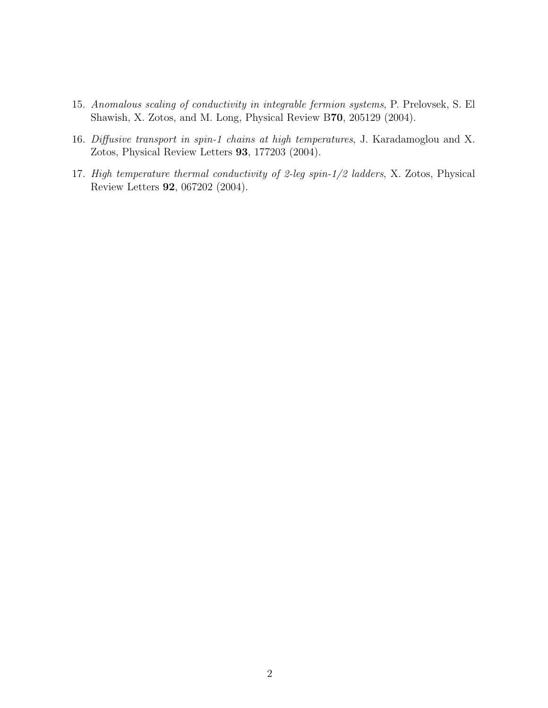- 15. Anomalous scaling of conductivity in integrable fermion systems, P. Prelovsek, S. El Shawish, X. Zotos, and M. Long, Physical Review B70, 205129 (2004).
- 16. Diffusive transport in spin-1 chains at high temperatures, J. Karadamoglou and X. Zotos, Physical Review Letters 93, 177203 (2004).
- 17. High temperature thermal conductivity of 2-leg spin-1/2 ladders, X. Zotos, Physical Review Letters 92, 067202 (2004).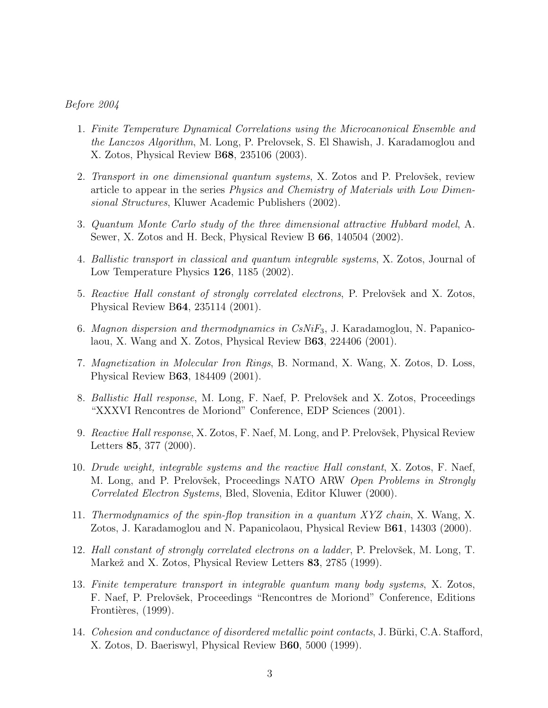## Before 2004

- 1. Finite Temperature Dynamical Correlations using the Microcanonical Ensemble and the Lanczos Algorithm, M. Long, P. Prelovsek, S. El Shawish, J. Karadamoglou and X. Zotos, Physical Review B68, 235106 (2003).
- 2. Transport in one dimensional quantum systems, X. Zotos and P. Prelovšek, review article to appear in the series Physics and Chemistry of Materials with Low Dimensional Structures, Kluwer Academic Publishers (2002).
- 3. Quantum Monte Carlo study of the three dimensional attractive Hubbard model, A. Sewer, X. Zotos and H. Beck, Physical Review B 66, 140504 (2002).
- 4. Ballistic transport in classical and quantum integrable systems, X. Zotos, Journal of Low Temperature Physics 126, 1185 (2002).
- 5. Reactive Hall constant of strongly correlated electrons, P. Prelovšek and X. Zotos, Physical Review B64, 235114 (2001).
- 6. Magnon dispersion and thermodynamics in  $CsNiF<sub>3</sub>$ , J. Karadamoglou, N. Papanicolaou, X. Wang and X. Zotos, Physical Review B63, 224406 (2001).
- 7. Magnetization in Molecular Iron Rings, B. Normand, X. Wang, X. Zotos, D. Loss, Physical Review B63, 184409 (2001).
- 8. Ballistic Hall response, M. Long, F. Naef, P. Prelovšek and X. Zotos, Proceedings "XXXVI Rencontres de Moriond" Conference, EDP Sciences (2001).
- 9. Reactive Hall response, X. Zotos, F. Naef, M. Long, and P. Prelovšek, Physical Review Letters 85, 377 (2000).
- 10. Drude weight, integrable systems and the reactive Hall constant, X. Zotos, F. Naef, M. Long, and P. Prelovšek, Proceedings NATO ARW Open Problems in Strongly Correlated Electron Systems, Bled, Slovenia, Editor Kluwer (2000).
- 11. Thermodynamics of the spin-flop transition in a quantum XYZ chain, X. Wang, X. Zotos, J. Karadamoglou and N. Papanicolaou, Physical Review B61, 14303 (2000).
- 12. Hall constant of strongly correlated electrons on a ladder, P. Prelovšek, M. Long, T. Markež and X. Zotos, Physical Review Letters 83, 2785 (1999).
- 13. Finite temperature transport in integrable quantum many body systems, X. Zotos, F. Naef, P. Prelovšek, Proceedings "Rencontres de Moriond" Conference, Editions Frontières, (1999).
- 14. Cohesion and conductance of disordered metallic point contacts, J. Bürki, C.A. Stafford, X. Zotos, D. Baeriswyl, Physical Review B60, 5000 (1999).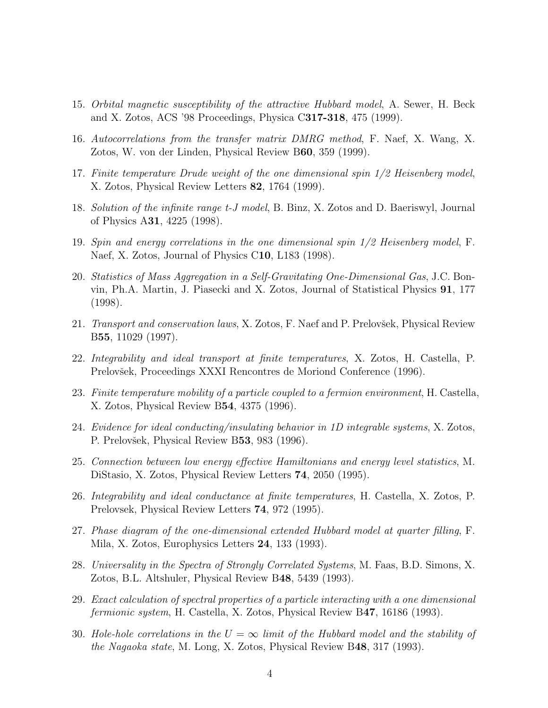- 15. Orbital magnetic susceptibility of the attractive Hubbard model, A. Sewer, H. Beck and X. Zotos, ACS '98 Proceedings, Physica C317-318, 475 (1999).
- 16. Autocorrelations from the transfer matrix DMRG method, F. Naef, X. Wang, X. Zotos, W. von der Linden, Physical Review B60, 359 (1999).
- 17. Finite temperature Drude weight of the one dimensional spin 1/2 Heisenberg model, X. Zotos, Physical Review Letters 82, 1764 (1999).
- 18. Solution of the infinite range t-J model, B. Binz, X. Zotos and D. Baeriswyl, Journal of Physics A31, 4225 (1998).
- 19. Spin and energy correlations in the one dimensional spin 1/2 Heisenberg model, F. Naef, X. Zotos, Journal of Physics C10, L183 (1998).
- 20. Statistics of Mass Aggregation in a Self-Gravitating One-Dimensional Gas, J.C. Bonvin, Ph.A. Martin, J. Piasecki and X. Zotos, Journal of Statistical Physics 91, 177 (1998).
- 21. Transport and conservation laws, X. Zotos, F. Naef and P. Prelovšek, Physical Review B55, 11029 (1997).
- 22. Integrability and ideal transport at finite temperatures, X. Zotos, H. Castella, P. Prelovšek, Proceedings XXXI Rencontres de Moriond Conference (1996).
- 23. Finite temperature mobility of a particle coupled to a fermion environment, H. Castella, X. Zotos, Physical Review B54, 4375 (1996).
- 24. Evidence for ideal conducting/insulating behavior in 1D integrable systems, X. Zotos, P. Prelovšek, Physical Review B53, 983 (1996).
- 25. Connection between low energy effective Hamiltonians and energy level statistics, M. DiStasio, X. Zotos, Physical Review Letters 74, 2050 (1995).
- 26. Integrability and ideal conductance at finite temperatures, H. Castella, X. Zotos, P. Prelovsek, Physical Review Letters 74, 972 (1995).
- 27. Phase diagram of the one-dimensional extended Hubbard model at quarter filling, F. Mila, X. Zotos, Europhysics Letters 24, 133 (1993).
- 28. Universality in the Spectra of Strongly Correlated Systems, M. Faas, B.D. Simons, X. Zotos, B.L. Altshuler, Physical Review B48, 5439 (1993).
- 29. Exact calculation of spectral properties of a particle interacting with a one dimensional fermionic system, H. Castella, X. Zotos, Physical Review B47, 16186 (1993).
- 30. Hole-hole correlations in the  $U = \infty$  limit of the Hubbard model and the stability of the Nagaoka state, M. Long, X. Zotos, Physical Review B48, 317 (1993).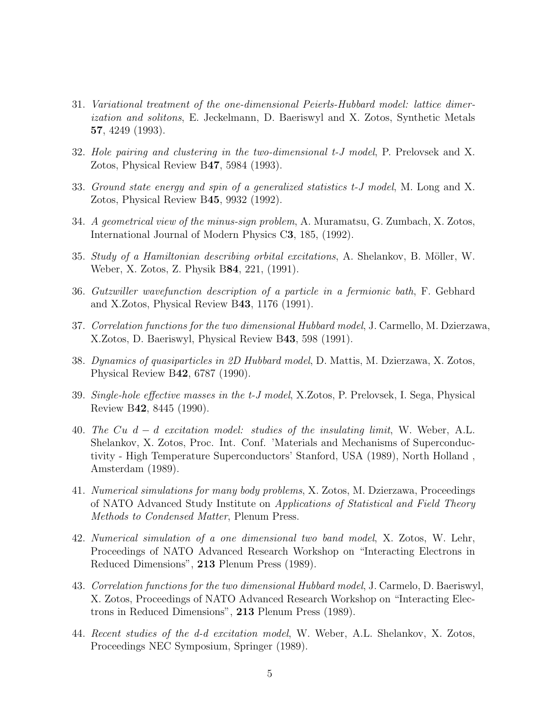- 31. Variational treatment of the one-dimensional Peierls-Hubbard model: lattice dimerization and solitons, E. Jeckelmann, D. Baeriswyl and X. Zotos, Synthetic Metals 57, 4249 (1993).
- 32. Hole pairing and clustering in the two-dimensional t-J model, P. Prelovsek and X. Zotos, Physical Review B47, 5984 (1993).
- 33. Ground state energy and spin of a generalized statistics t-J model, M. Long and X. Zotos, Physical Review B45, 9932 (1992).
- 34. A geometrical view of the minus-sign problem, A. Muramatsu, G. Zumbach, X. Zotos, International Journal of Modern Physics C3, 185, (1992).
- 35. Study of a Hamiltonian describing orbital excitations, A. Shelankov, B. Möller, W. Weber, X. Zotos, Z. Physik B84, 221, (1991).
- 36. Gutzwiller wavefunction description of a particle in a fermionic bath, F. Gebhard and X.Zotos, Physical Review B43, 1176 (1991).
- 37. Correlation functions for the two dimensional Hubbard model, J. Carmello, M. Dzierzawa, X.Zotos, D. Baeriswyl, Physical Review B43, 598 (1991).
- 38. Dynamics of quasiparticles in 2D Hubbard model, D. Mattis, M. Dzierzawa, X. Zotos, Physical Review B42, 6787 (1990).
- 39. Single-hole effective masses in the t-J model, X.Zotos, P. Prelovsek, I. Sega, Physical Review B42, 8445 (1990).
- 40. The Cu  $d d$  excitation model: studies of the insulating limit, W. Weber, A.L. Shelankov, X. Zotos, Proc. Int. Conf. 'Materials and Mechanisms of Superconductivity - High Temperature Superconductors' Stanford, USA (1989), North Holland , Amsterdam (1989).
- 41. Numerical simulations for many body problems, X. Zotos, M. Dzierzawa, Proceedings of NATO Advanced Study Institute on Applications of Statistical and Field Theory Methods to Condensed Matter, Plenum Press.
- 42. Numerical simulation of a one dimensional two band model, X. Zotos, W. Lehr, Proceedings of NATO Advanced Research Workshop on "Interacting Electrons in Reduced Dimensions", 213 Plenum Press (1989).
- 43. Correlation functions for the two dimensional Hubbard model, J. Carmelo, D. Baeriswyl, X. Zotos, Proceedings of NATO Advanced Research Workshop on "Interacting Electrons in Reduced Dimensions", 213 Plenum Press (1989).
- 44. Recent studies of the d-d excitation model, W. Weber, A.L. Shelankov, X. Zotos, Proceedings NEC Symposium, Springer (1989).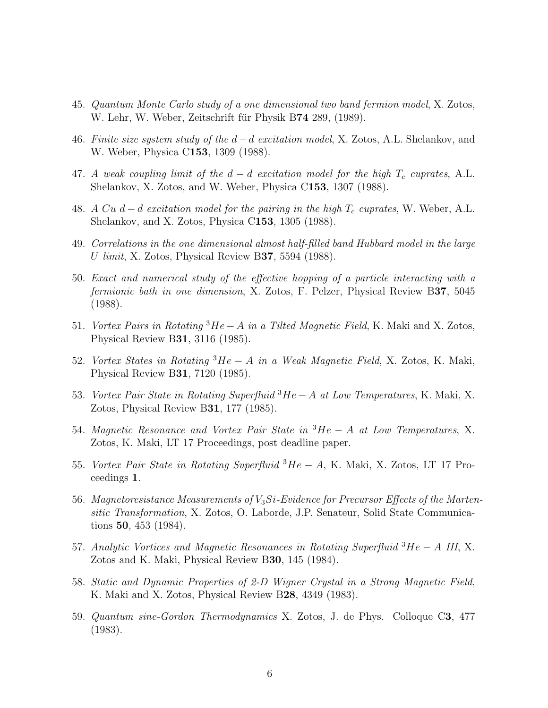- 45. Quantum Monte Carlo study of a one dimensional two band fermion model, X. Zotos, W. Lehr, W. Weber, Zeitschrift für Physik B74 289, (1989).
- 46. Finite size system study of the  $d d$  excitation model, X. Zotos, A.L. Shelankov, and W. Weber, Physica C153, 1309 (1988).
- 47. A weak coupling limit of the  $d d$  excitation model for the high  $T_c$  cuprates, A.L. Shelankov, X. Zotos, and W. Weber, Physica C153, 1307 (1988).
- 48. A Cu d d excitation model for the pairing in the high  $T_c$  cuprates, W. Weber, A.L. Shelankov, and X. Zotos, Physica C153, 1305 (1988).
- 49. Correlations in the one dimensional almost half-filled band Hubbard model in the large U limit, X. Zotos, Physical Review B37, 5594 (1988).
- 50. Exact and numerical study of the effective hopping of a particle interacting with a fermionic bath in one dimension, X. Zotos, F. Pelzer, Physical Review B37, 5045 (1988).
- 51. Vortex Pairs in Rotating <sup>3</sup>He−A in a Tilted Magnetic Field, K. Maki and X. Zotos, Physical Review B31, 3116 (1985).
- 52. Vortex States in Rotating <sup>3</sup>He − A in a Weak Magnetic Field, X. Zotos, K. Maki, Physical Review B31, 7120 (1985).
- 53. Vortex Pair State in Rotating Superfluid <sup>3</sup>He − A at Low Temperatures, K. Maki, X. Zotos, Physical Review B31, 177 (1985).
- 54. Magnetic Resonance and Vortex Pair State in <sup>3</sup>He − A at Low Temperatures, X. Zotos, K. Maki, LT 17 Proceedings, post deadline paper.
- 55. Vortex Pair State in Rotating Superfluid  ${}^{3}He A$ , K. Maki, X. Zotos, LT 17 Proceedings 1.
- 56. Magnetoresistance Measurements of  $V_3Si$ -Evidence for Precursor Effects of the Martensitic Transformation, X. Zotos, O. Laborde, J.P. Senateur, Solid State Communications 50, 453 (1984).
- 57. Analytic Vortices and Magnetic Resonances in Rotating Superfluid <sup>3</sup>He − A III, X. Zotos and K. Maki, Physical Review B30, 145 (1984).
- 58. Static and Dynamic Properties of 2-D Wigner Crystal in a Strong Magnetic Field, K. Maki and X. Zotos, Physical Review B28, 4349 (1983).
- 59. Quantum sine-Gordon Thermodynamics X. Zotos, J. de Phys. Colloque C3, 477 (1983).